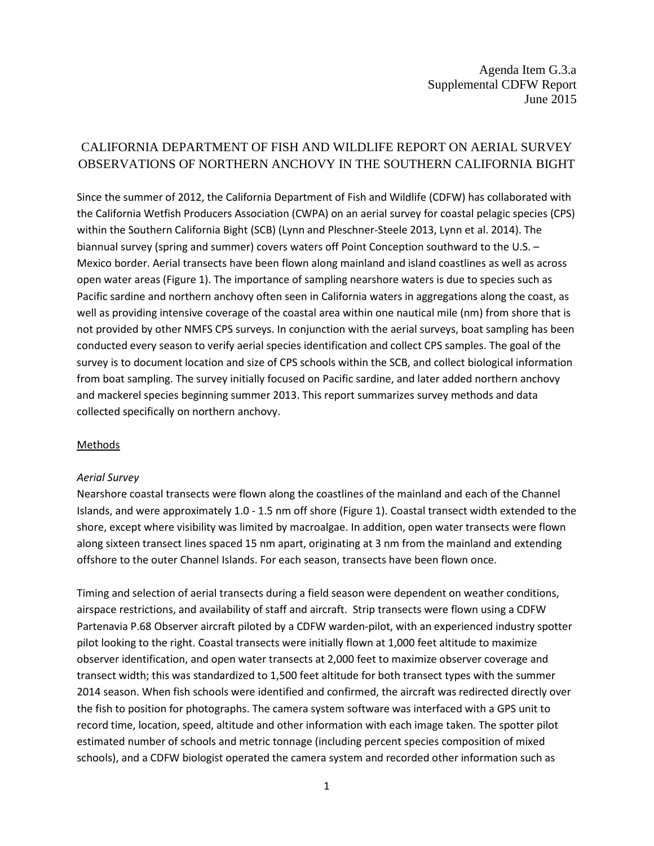# CALIFORNIA DEPARTMENT OF FISH AND WILDLIFE REPORT ON AERIAL SURVEY OBSERVATIONS OF NORTHERN ANCHOVY IN THE SOUTHERN CALIFORNIA BIGHT

Since the summer of 2012, the California Department of Fish and Wildlife (CDFW) has collaborated with the California Wetfish Producers Association (CWPA) on an aerial survey for coastal pelagic species (CPS) within the Southern California Bight (SCB) (Lynn and Pleschner-Steele 2013, Lynn et al. 2014). The biannual survey (spring and summer) covers waters off Point Conception southward to the U.S. – Mexico border. Aerial transects have been flown along mainland and island coastlines as well as across open water areas (Figure 1). The importance of sampling nearshore waters is due to species such as Pacific sardine and northern anchovy often seen in California waters in aggregations along the coast, as well as providing intensive coverage of the coastal area within one nautical mile (nm) from shore that is not provided by other NMFS CPS surveys. In conjunction with the aerial surveys, boat sampling has been conducted every season to verify aerial species identification and collect CPS samples. The goal of the survey is to document location and size of CPS schools within the SCB, and collect biological information from boat sampling. The survey initially focused on Pacific sardine, and later added northern anchovy and mackerel species beginning summer 2013. This report summarizes survey methods and data collected specifically on northern anchovy.

## Methods

#### *Aerial Survey*

Nearshore coastal transects were flown along the coastlines of the mainland and each of the Channel Islands, and were approximately 1.0 - 1.5 nm off shore (Figure 1). Coastal transect width extended to the shore, except where visibility was limited by macroalgae. In addition, open water transects were flown along sixteen transect lines spaced 15 nm apart, originating at 3 nm from the mainland and extending offshore to the outer Channel Islands. For each season, transects have been flown once.

Timing and selection of aerial transects during a field season were dependent on weather conditions, airspace restrictions, and availability of staff and aircraft. Strip transects were flown using a CDFW Partenavia P.68 Observer aircraft piloted by a CDFW warden-pilot, with an experienced industry spotter pilot looking to the right. Coastal transects were initially flown at 1,000 feet altitude to maximize observer identification, and open water transects at 2,000 feet to maximize observer coverage and transect width; this was standardized to 1,500 feet altitude for both transect types with the summer 2014 season. When fish schools were identified and confirmed, the aircraft was redirected directly over the fish to position for photographs. The camera system software was interfaced with a GPS unit to record time, location, speed, altitude and other information with each image taken. The spotter pilot estimated number of schools and metric tonnage (including percent species composition of mixed schools), and a CDFW biologist operated the camera system and recorded other information such as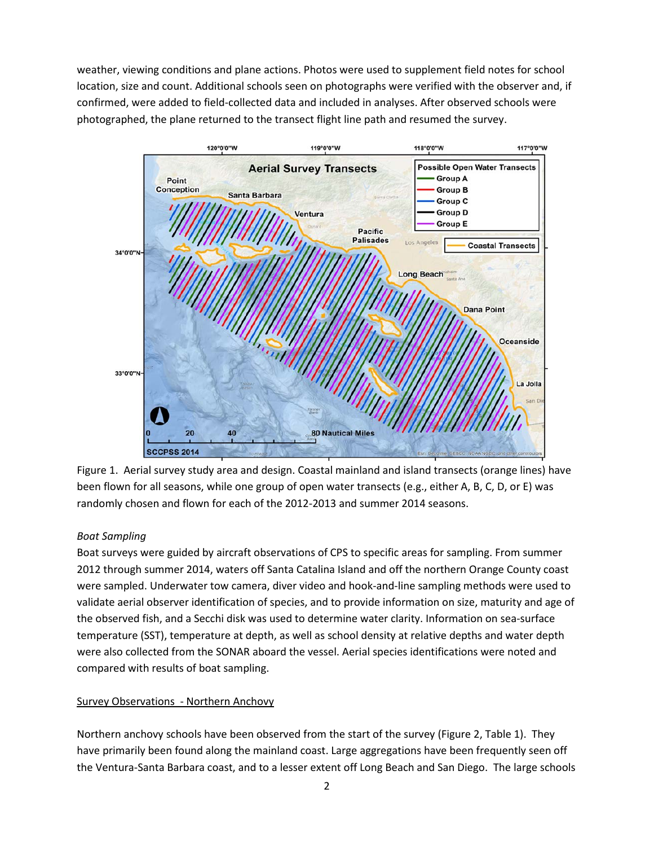weather, viewing conditions and plane actions. Photos were used to supplement field notes for school location, size and count. Additional schools seen on photographs were verified with the observer and, if confirmed, were added to field-collected data and included in analyses. After observed schools were photographed, the plane returned to the transect flight line path and resumed the survey.



Figure 1. Aerial survey study area and design. Coastal mainland and island transects (orange lines) have been flown for all seasons, while one group of open water transects (e.g., either A, B, C, D, or E) was randomly chosen and flown for each of the 2012-2013 and summer 2014 seasons.

## *Boat Sampling*

Boat surveys were guided by aircraft observations of CPS to specific areas for sampling. From summer 2012 through summer 2014, waters off Santa Catalina Island and off the northern Orange County coast were sampled. Underwater tow camera, diver video and hook-and-line sampling methods were used to validate aerial observer identification of species, and to provide information on size, maturity and age of the observed fish, and a Secchi disk was used to determine water clarity. Information on sea-surface temperature (SST), temperature at depth, as well as school density at relative depths and water depth were also collected from the SONAR aboard the vessel. Aerial species identifications were noted and compared with results of boat sampling.

## Survey Observations - Northern Anchovy

Northern anchovy schools have been observed from the start of the survey (Figure 2, Table 1). They have primarily been found along the mainland coast. Large aggregations have been frequently seen off the Ventura-Santa Barbara coast, and to a lesser extent off Long Beach and San Diego. The large schools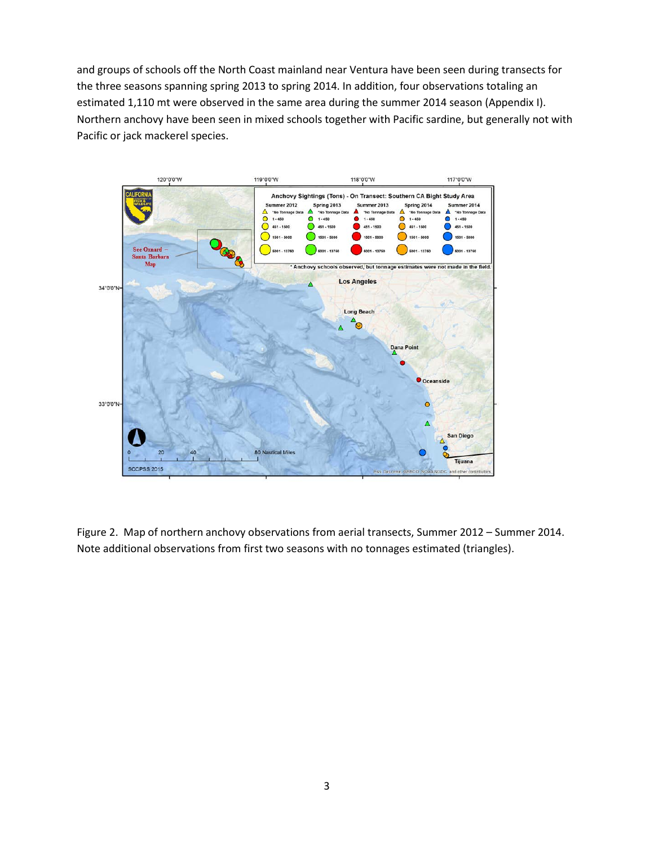and groups of schools off the North Coast mainland near Ventura have been seen during transects for the three seasons spanning spring 2013 to spring 2014. In addition, four observations totaling an estimated 1,110 mt were observed in the same area during the summer 2014 season (Appendix I). Northern anchovy have been seen in mixed schools together with Pacific sardine, but generally not with Pacific or jack mackerel species.



Figure 2. Map of northern anchovy observations from aerial transects, Summer 2012 – Summer 2014. Note additional observations from first two seasons with no tonnages estimated (triangles).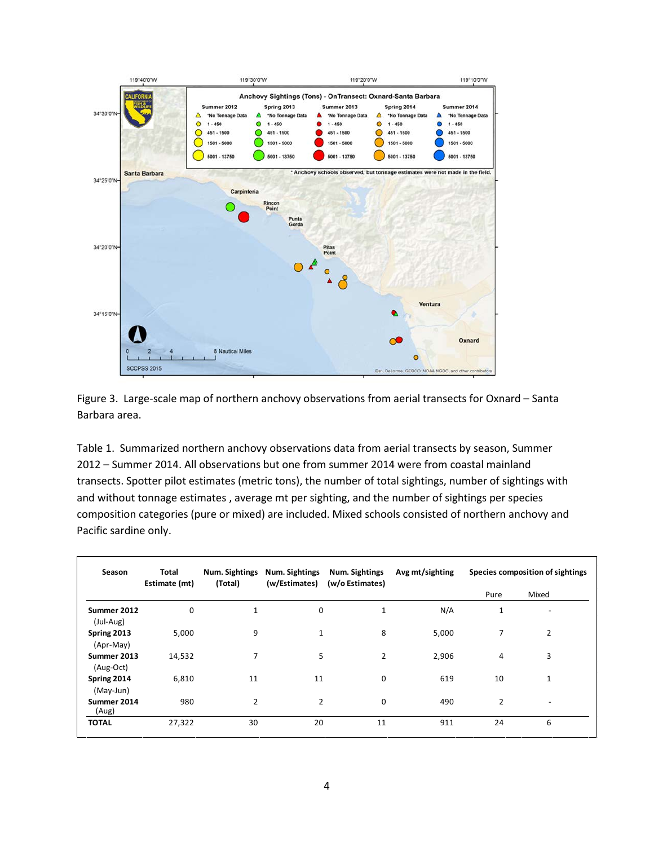

Figure 3. Large-scale map of northern anchovy observations from aerial transects for Oxnard – Santa Barbara area.

Table 1. Summarized northern anchovy observations data from aerial transects by season, Summer 2012 – Summer 2014. All observations but one from summer 2014 were from coastal mainland transects. Spotter pilot estimates (metric tons), the number of total sightings, number of sightings with and without tonnage estimates , average mt per sighting, and the number of sightings per species composition categories (pure or mixed) are included. Mixed schools consisted of northern anchovy and Pacific sardine only.

| Season                   | Total<br>Estimate (mt) | Num. Sightings<br>(Total) | Num. Sightings<br>(w/Estimates) | Num. Sightings<br>(w/o Estimates) | Avg mt/sighting | Species composition of sightings |                |
|--------------------------|------------------------|---------------------------|---------------------------------|-----------------------------------|-----------------|----------------------------------|----------------|
|                          |                        |                           |                                 |                                   |                 | Pure                             | Mixed          |
| Summer 2012<br>(Jul-Aug) | $\mathbf 0$            | $\mathbf{1}$              | 0                               | $\mathbf{1}$                      | N/A             | 1                                |                |
| Spring 2013<br>(Apr-May) | 5,000                  | 9                         | $\mathbf{1}$                    | 8                                 | 5,000           | 7                                | $\overline{2}$ |
| Summer 2013<br>(Aug-Oct) | 14,532                 | 7                         | 5                               | 2                                 | 2,906           | 4                                | 3              |
| Spring 2014<br>(May-Jun) | 6,810                  | 11                        | 11                              | $\mathbf 0$                       | 619             | 10                               | $\mathbf{1}$   |
| Summer 2014<br>(Aug)     | 980                    | $\overline{2}$            | $\overline{2}$                  | $\mathbf 0$                       | 490             | $\overline{2}$                   |                |
| <b>TOTAL</b>             | 27,322                 | 30                        | 20                              | 11                                | 911             | 24                               | 6              |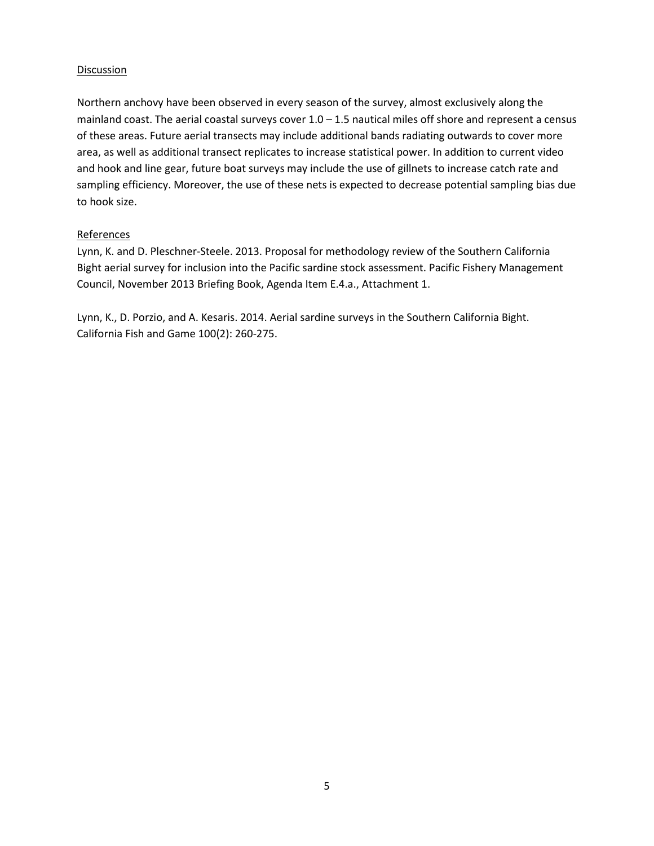#### Discussion

Northern anchovy have been observed in every season of the survey, almost exclusively along the mainland coast. The aerial coastal surveys cover  $1.0 - 1.5$  nautical miles off shore and represent a census of these areas. Future aerial transects may include additional bands radiating outwards to cover more area, as well as additional transect replicates to increase statistical power. In addition to current video and hook and line gear, future boat surveys may include the use of gillnets to increase catch rate and sampling efficiency. Moreover, the use of these nets is expected to decrease potential sampling bias due to hook size.

## **References**

Lynn, K. and D. Pleschner-Steele. 2013. Proposal for methodology review of the Southern California Bight aerial survey for inclusion into the Pacific sardine stock assessment. Pacific Fishery Management Council, November 2013 Briefing Book, Agenda Item E.4.a., Attachment 1.

Lynn, K., D. Porzio, and A. Kesaris. 2014. Aerial sardine surveys in the Southern California Bight. California Fish and Game 100(2): 260-275.